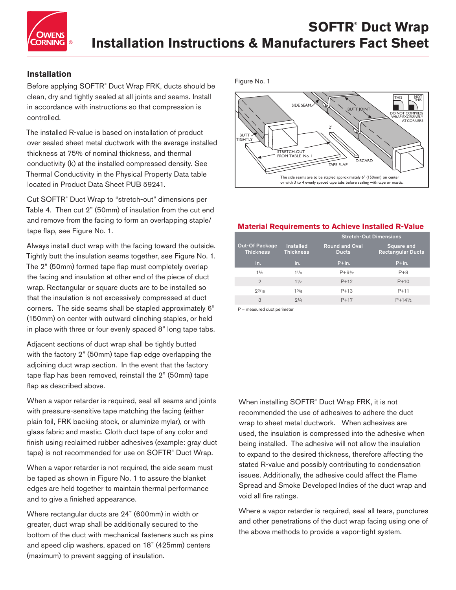

# **Installation**

Before applying SOFTR® Duct Wrap FRK, ducts should be clean, dry and tightly sealed at all joints and seams. Install in accordance with instructions so that compression is controlled.

The installed R-value is based on installation of product over sealed sheet metal ductwork with the average installed thickness at 75% of nominal thickness, and thermal conductivity (k) at the installed compressed density. See Thermal Conductivity in the Physical Property Data table located in Product Data Sheet PUB 59241.

Cut SOFTR® Duct Wrap to "stretch-out" dimensions per Table 4. Then cut 2" (50mm) of insulation from the cut end and remove from the facing to form an overlapping staple/ tape flap, see Figure No. 1.

Always install duct wrap with the facing toward the outside. Tightly butt the insulation seams together, see Figure No. 1. The 2" (50mm) formed tape flap must completely overlap the facing and insulation at other end of the piece of duct wrap. Rectangular or square ducts are to be installed so that the insulation is not excessively compressed at duct corners. The side seams shall be stapled approximately 6" (150mm) on center with outward clinching staples, or held in place with three or four evenly spaced 8" long tape tabs.

Adjacent sections of duct wrap shall be tightly butted with the factory 2" (50mm) tape flap edge overlapping the adjoining duct wrap section. In the event that the factory tape flap has been removed, reinstall the 2" (50mm) tape flap as described above.

When a vapor retarder is required, seal all seams and joints with pressure-sensitive tape matching the facing (either plain foil, FRK backing stock, or aluminize mylar), or with glass fabric and mastic. Cloth duct tape of any color and finish using reclaimed rubber adhesives (example: gray duct tape) is not recommended for use on SOFTR® Duct Wrap.

When a vapor retarder is not required, the side seam must be taped as shown in Figure No. 1 to assure the blanket edges are held together to maintain thermal performance and to give a finished appearance.

Where rectangular ducts are 24" (600mm) in width or greater, duct wrap shall be additionally secured to the bottom of the duct with mechanical fasteners such as pins and speed clip washers, spaced on 18" (425mm) centers (maximum) to prevent sagging of insulation.

Figure No. 1



#### **Material Requirements to Achieve Installed R-Value**

|                                           |                                      | <b>Stretch-Out Dimensions</b>         |                                               |  |  |  |  |
|-------------------------------------------|--------------------------------------|---------------------------------------|-----------------------------------------------|--|--|--|--|
| <b>Out-Of Package</b><br><b>Thickness</b> | <b>Installed</b><br><b>Thickness</b> | <b>Round and Oval</b><br><b>Ducts</b> | <b>Square and</b><br><b>Rectangular Ducts</b> |  |  |  |  |
| in.                                       | in.                                  | $P+in.$                               | $P+$ in.                                      |  |  |  |  |
| 11/2                                      | $11\overline{R}$                     | $P + 9\frac{1}{2}$                    | $P + 8$                                       |  |  |  |  |
| $\overline{2}$                            | 11/2                                 | $P+12$                                | $P+10$                                        |  |  |  |  |
| $2^{3/16}$                                | 15/8                                 | $P+13$                                | $P+11$                                        |  |  |  |  |
| 3                                         | $2^{1/4}$                            | $P+17$                                | $P+14\frac{1}{2}$                             |  |  |  |  |

P = measured duct perimeter

When installing SOFTR® Duct Wrap FRK, it is not recommended the use of adhesives to adhere the duct wrap to sheet metal ductwork. When adhesives are used, the insulation is compressed into the adhesive when being installed. The adhesive will not allow the insulation to expand to the desired thickness, therefore affecting the stated R-value and possibly contributing to condensation issues. Additionally, the adhesive could affect the Flame Spread and Smoke Developed Indies of the duct wrap and void all fire ratings.

Where a vapor retarder is required, seal all tears, punctures and other penetrations of the duct wrap facing using one of the above methods to provide a vapor-tight system.